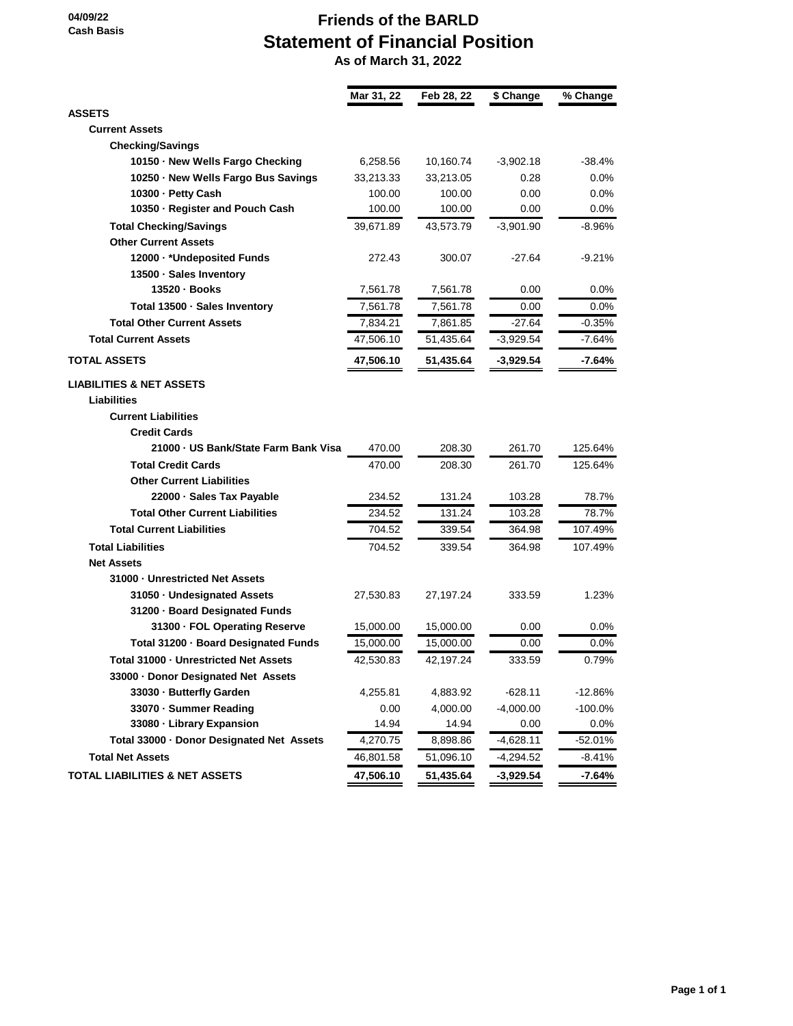**04/09/22 Cash Basis**

## **Friends of the BARLD Statement of Financial Position**

 **As of March 31, 2022**

|                                           | Mar 31, 22 | Feb 28, 22 | \$ Change   | % Change  |
|-------------------------------------------|------------|------------|-------------|-----------|
| <b>ASSETS</b>                             |            |            |             |           |
| <b>Current Assets</b>                     |            |            |             |           |
| <b>Checking/Savings</b>                   |            |            |             |           |
| 10150 · New Wells Fargo Checking          | 6,258.56   | 10,160.74  | $-3,902.18$ | $-38.4%$  |
| 10250 · New Wells Fargo Bus Savings       | 33,213.33  | 33,213.05  | 0.28        | $0.0\%$   |
| 10300 - Petty Cash                        | 100.00     | 100.00     | 0.00        | $0.0\%$   |
| 10350 · Register and Pouch Cash           | 100.00     | 100.00     | 0.00        | $0.0\%$   |
| <b>Total Checking/Savings</b>             | 39,671.89  | 43,573.79  | $-3,901.90$ | $-8.96%$  |
| <b>Other Current Assets</b>               |            |            |             |           |
| 12000 · * Undeposited Funds               | 272.43     | 300.07     | $-27.64$    | $-9.21%$  |
| 13500 · Sales Inventory                   |            |            |             |           |
| 13520 · Books                             | 7,561.78   | 7,561.78   | 0.00        | 0.0%      |
| Total 13500 - Sales Inventory             | 7,561.78   | 7,561.78   | 0.00        | 0.0%      |
| <b>Total Other Current Assets</b>         | 7,834.21   | 7,861.85   | $-27.64$    | $-0.35%$  |
| <b>Total Current Assets</b>               | 47,506.10  | 51,435.64  | $-3,929.54$ | $-7.64%$  |
| <b>TOTAL ASSETS</b>                       | 47,506.10  | 51,435.64  | $-3,929.54$ | $-7.64%$  |
| <b>LIABILITIES &amp; NET ASSETS</b>       |            |            |             |           |
| <b>Liabilities</b>                        |            |            |             |           |
| <b>Current Liabilities</b>                |            |            |             |           |
| <b>Credit Cards</b>                       |            |            |             |           |
| 21000 - US Bank/State Farm Bank Visa      | 470.00     | 208.30     | 261.70      | 125.64%   |
| <b>Total Credit Cards</b>                 | 470.00     | 208.30     | 261.70      | 125.64%   |
| <b>Other Current Liabilities</b>          |            |            |             |           |
| 22000 · Sales Tax Payable                 | 234.52     | 131.24     | 103.28      | 78.7%     |
| <b>Total Other Current Liabilities</b>    | 234.52     | 131.24     | 103.28      | 78.7%     |
| <b>Total Current Liabilities</b>          | 704.52     | 339.54     | 364.98      | 107.49%   |
| <b>Total Liabilities</b>                  | 704.52     | 339.54     | 364.98      | 107.49%   |
| <b>Net Assets</b>                         |            |            |             |           |
| 31000 - Unrestricted Net Assets           |            |            |             |           |
| 31050 - Undesignated Assets               | 27,530.83  | 27,197.24  | 333.59      | 1.23%     |
| 31200 · Board Designated Funds            |            |            |             |           |
| 31300 · FOL Operating Reserve             | 15,000.00  | 15,000.00  | 0.00        | 0.0%      |
| Total 31200 · Board Designated Funds      | 15,000.00  | 15,000.00  | 0.00        | $0.0\%$   |
| Total 31000 - Unrestricted Net Assets     | 42,530.83  | 42,197.24  | 333.59      | 0.79%     |
| 33000 · Donor Designated Net Assets       |            |            |             |           |
| 33030 - Butterfly Garden                  | 4,255.81   | 4,883.92   | $-628.11$   | $-12.86%$ |
| 33070 - Summer Reading                    | 0.00       | 4,000.00   | $-4,000.00$ | $-100.0%$ |
| 33080 · Library Expansion                 | 14.94      | 14.94      | 0.00        | 0.0%      |
| Total 33000 · Donor Designated Net Assets | 4,270.75   | 8,898.86   | $-4,628.11$ | $-52.01%$ |
| <b>Total Net Assets</b>                   | 46,801.58  | 51,096.10  | $-4,294.52$ | $-8.41%$  |
| <b>TOTAL LIABILITIES &amp; NET ASSETS</b> | 47,506.10  | 51,435.64  | -3,929.54   | -7.64%    |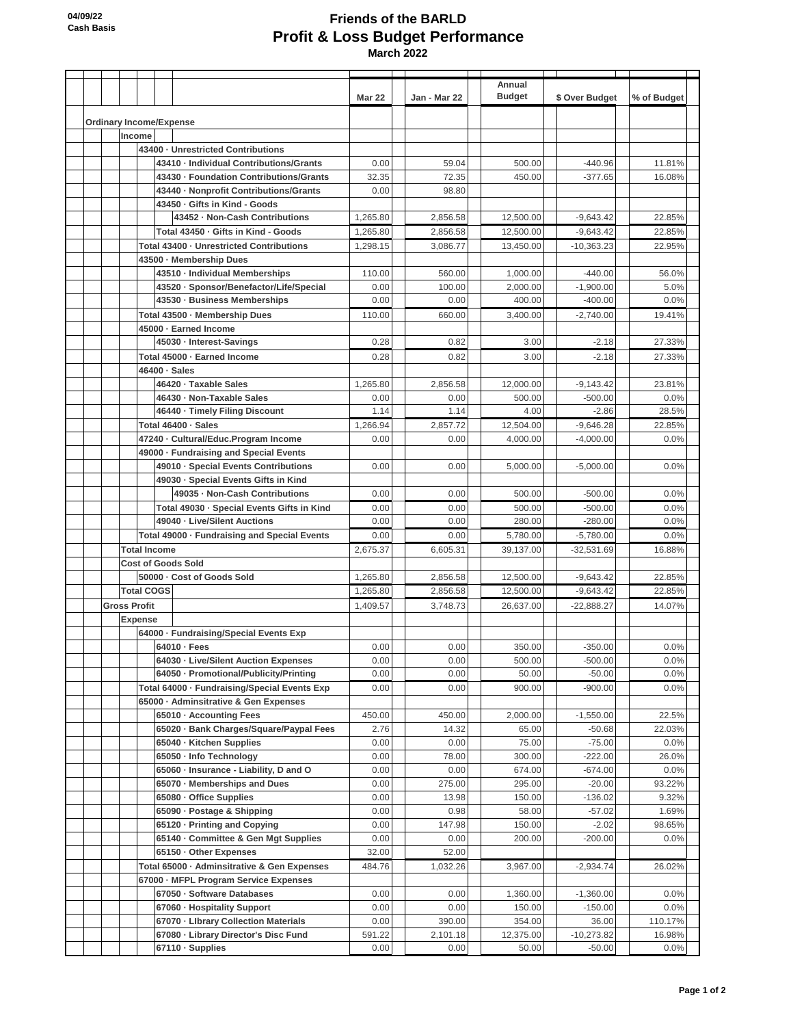## **Friends of the BARLD Profit & Loss Budget Performance March 2022**

|  |                                |        |                     |                                                                            | <b>Mar 22</b>        | Jan - Mar 22         | Annual<br><b>Budget</b> | \$ Over Budget             | % of Budget      |
|--|--------------------------------|--------|---------------------|----------------------------------------------------------------------------|----------------------|----------------------|-------------------------|----------------------------|------------------|
|  | <b>Ordinary Income/Expense</b> |        |                     |                                                                            |                      |                      |                         |                            |                  |
|  |                                | Income |                     |                                                                            |                      |                      |                         |                            |                  |
|  |                                |        |                     | 43400 - Unrestricted Contributions                                         |                      |                      |                         |                            |                  |
|  |                                |        |                     | 43410 - Individual Contributions/Grants                                    | 0.00                 | 59.04                | 500.00                  | $-440.96$                  | 11.81%           |
|  |                                |        |                     | 43430 - Foundation Contributions/Grants                                    | 32.35                | 72.35                | 450.00                  | $-377.65$                  | 16.08%           |
|  |                                |        |                     | 43440 - Nonprofit Contributions/Grants                                     | 0.00                 | 98.80                |                         |                            |                  |
|  |                                |        |                     | 43450 - Gifts in Kind - Goods                                              |                      |                      |                         |                            |                  |
|  |                                |        |                     | 43452 - Non-Cash Contributions<br>Total 43450 - Gifts in Kind - Goods      | 1,265.80             | 2,856.58<br>2.856.58 | 12,500.00               | $-9,643.42$<br>$-9,643.42$ | 22.85%<br>22.85% |
|  |                                |        |                     | Total 43400 · Unrestricted Contributions                                   | 1,265.80<br>1,298.15 | 3.086.77             | 12,500.00<br>13,450.00  | $-10,363.23$               | 22.95%           |
|  |                                |        |                     | 43500 · Membership Dues                                                    |                      |                      |                         |                            |                  |
|  |                                |        |                     | 43510 - Individual Memberships                                             | 110.00               | 560.00               | 1,000.00                | $-440.00$                  | 56.0%            |
|  |                                |        |                     | 43520 · Sponsor/Benefactor/Life/Special                                    | 0.00                 | 100.00               | 2,000.00                | $-1,900.00$                | 5.0%             |
|  |                                |        |                     | 43530 · Business Memberships                                               | 0.00                 | 0.00                 | 400.00                  | $-400.00$                  | 0.0%             |
|  |                                |        |                     | Total 43500 · Membership Dues                                              | 110.00               | 660.00               | 3,400.00                | $-2,740.00$                | 19.41%           |
|  |                                |        |                     | 45000 · Earned Income                                                      |                      |                      |                         |                            |                  |
|  |                                |        |                     | 45030 - Interest-Savings                                                   | 0.28                 | 0.82                 | 3.00                    | $-2.18$                    | 27.33%           |
|  |                                |        |                     | Total 45000 · Earned Income                                                | 0.28                 | 0.82                 | 3.00                    | $-2.18$                    | 27.33%           |
|  |                                |        |                     | 46400 · Sales                                                              |                      |                      |                         |                            |                  |
|  |                                |        |                     | 46420 - Taxable Sales                                                      | 1,265.80             | 2,856.58             | 12,000.00               | $-9,143.42$                | 23.81%           |
|  |                                |        |                     | 46430 · Non-Taxable Sales                                                  | 0.00                 | 0.00                 | 500.00                  | $-500.00$                  | 0.0%             |
|  |                                |        |                     | 46440 - Timely Filing Discount                                             | 1.14                 | 1.14                 | 4.00                    | $-2.86$                    | 28.5%            |
|  |                                |        |                     | Total 46400 - Sales                                                        | 1,266.94             | 2,857.72             | 12,504.00               | $-9,646.28$                | 22.85%           |
|  |                                |        |                     | 47240 - Cultural/Educ.Program Income                                       | 0.00                 | 0.00                 | 4.000.00                | $-4,000.00$                | 0.0%             |
|  |                                |        |                     | 49000 · Fundraising and Special Events                                     |                      |                      |                         |                            |                  |
|  |                                |        |                     | 49010 - Special Events Contributions                                       | 0.00                 | 0.00                 | 5,000.00                | $-5,000.00$                | 0.0%             |
|  |                                |        |                     | 49030 - Special Events Gifts in Kind                                       |                      |                      |                         |                            |                  |
|  |                                |        |                     | 49035 - Non-Cash Contributions                                             | 0.00                 | 0.00                 | 500.00                  | $-500.00$                  | 0.0%             |
|  |                                |        |                     | Total 49030 - Special Events Gifts in Kind<br>49040 - Live/Silent Auctions | 0.00                 | 0.00                 | 500.00                  | $-500.00$                  | 0.0%             |
|  |                                |        |                     | Total 49000 - Fundraising and Special Events                               | 0.00<br>0.00         | 0.00<br>0.00         | 280.00                  | $-280.00$<br>$-5,780.00$   | 0.0%<br>0.0%     |
|  |                                |        |                     | <b>Total Income</b>                                                        | 2,675.37             | 6,605.31             | 5,780.00<br>39,137.00   | $-32,531.69$               | 16.88%           |
|  |                                |        |                     | <b>Cost of Goods Sold</b>                                                  |                      |                      |                         |                            |                  |
|  |                                |        |                     | 50000 - Cost of Goods Sold                                                 | 1,265.80             | 2,856.58             | 12,500.00               | $-9,643.42$                | 22.85%           |
|  |                                |        | <b>Total COGS</b>   |                                                                            | 1,265.80             | 2,856.58             | 12,500.00               | $-9,643.42$                | 22.85%           |
|  |                                |        | <b>Gross Profit</b> |                                                                            | 1,409.57             | 3,748.73             | 26,637.00               | $-22,888.27$               | 14.07%           |
|  |                                |        | <b>Expense</b>      |                                                                            |                      |                      |                         |                            |                  |
|  |                                |        |                     | 64000 · Fundraising/Special Events Exp                                     |                      |                      |                         |                            |                  |
|  |                                |        |                     | $64010 - Fees$                                                             | 0.00                 | 0.00                 | 350.00                  | $-350.00$                  | 0.0%             |
|  |                                |        |                     | 64030 - Live/Silent Auction Expenses                                       | 0.00                 | 0.00                 | 500.00                  | $-500.00$                  | 0.0%             |
|  |                                |        |                     | 64050 · Promotional/Publicity/Printing                                     | 0.00                 | 0.00                 | 50.00                   | $-50.00$                   | 0.0%             |
|  |                                |        |                     | Total 64000 - Fundraising/Special Events Exp                               | 0.00                 | 0.00                 | 900.00                  | $-900.00$                  | 0.0%             |
|  |                                |        |                     | 65000 · Adminsitrative & Gen Expenses                                      |                      |                      |                         |                            |                  |
|  |                                |        |                     | 65010 · Accounting Fees                                                    | 450.00               | 450.00               | 2,000.00                | $-1,550.00$                | 22.5%            |
|  |                                |        |                     | 65020 · Bank Charges/Square/Paypal Fees                                    | 2.76                 | 14.32                | 65.00                   | $-50.68$                   | 22.03%           |
|  |                                |        |                     | 65040 - Kitchen Supplies<br>65050 - Info Technology                        | 0.00<br>0.00         | 0.00<br>78.00        | 75.00<br>300.00         | $-75.00$<br>$-222.00$      | 0.0%<br>26.0%    |
|  |                                |        |                     | 65060 · Insurance - Liability, D and O                                     | 0.00                 | 0.00                 | 674.00                  | $-674.00$                  | 0.0%             |
|  |                                |        |                     | 65070 - Memberships and Dues                                               | 0.00                 | 275.00               | 295.00                  | $-20.00$                   | 93.22%           |
|  |                                |        |                     | 65080 - Office Supplies                                                    | 0.00                 | 13.98                | 150.00                  | $-136.02$                  | 9.32%            |
|  |                                |        |                     | 65090 · Postage & Shipping                                                 | 0.00                 | 0.98                 | 58.00                   | $-57.02$                   | 1.69%            |
|  |                                |        |                     | 65120 - Printing and Copying                                               | 0.00                 | 147.98               | 150.00                  | $-2.02$                    | 98.65%           |
|  |                                |        |                     | 65140 · Committee & Gen Mgt Supplies                                       | 0.00                 | 0.00                 | 200.00                  | $-200.00$                  | 0.0%             |
|  |                                |        |                     | 65150 Other Expenses                                                       | 32.00                | 52.00                |                         |                            |                  |
|  |                                |        |                     | Total 65000 · Adminsitrative & Gen Expenses                                | 484.76               | 1,032.26             | 3,967.00                | $-2,934.74$                | 26.02%           |
|  |                                |        |                     | 67000 · MFPL Program Service Expenses                                      |                      |                      |                         |                            |                  |
|  |                                |        |                     | 67050 · Software Databases                                                 | 0.00                 | 0.00                 | 1,360.00                | $-1,360.00$                | 0.0%             |
|  |                                |        |                     | 67060 - Hospitality Support                                                | 0.00                 | 0.00                 | 150.00                  | $-150.00$                  | 0.0%             |
|  |                                |        |                     | 67070 - Library Collection Materials                                       | 0.00                 | 390.00               | 354.00                  | 36.00                      | 110.17%          |
|  |                                |        |                     | 67080 - Library Director's Disc Fund                                       | 591.22               | 2,101.18             | 12,375.00               | $-10,273.82$               | 16.98%           |
|  |                                |        |                     | 67110 · Supplies                                                           | 0.00                 | 0.00                 | 50.00                   | $-50.00$                   | 0.0%             |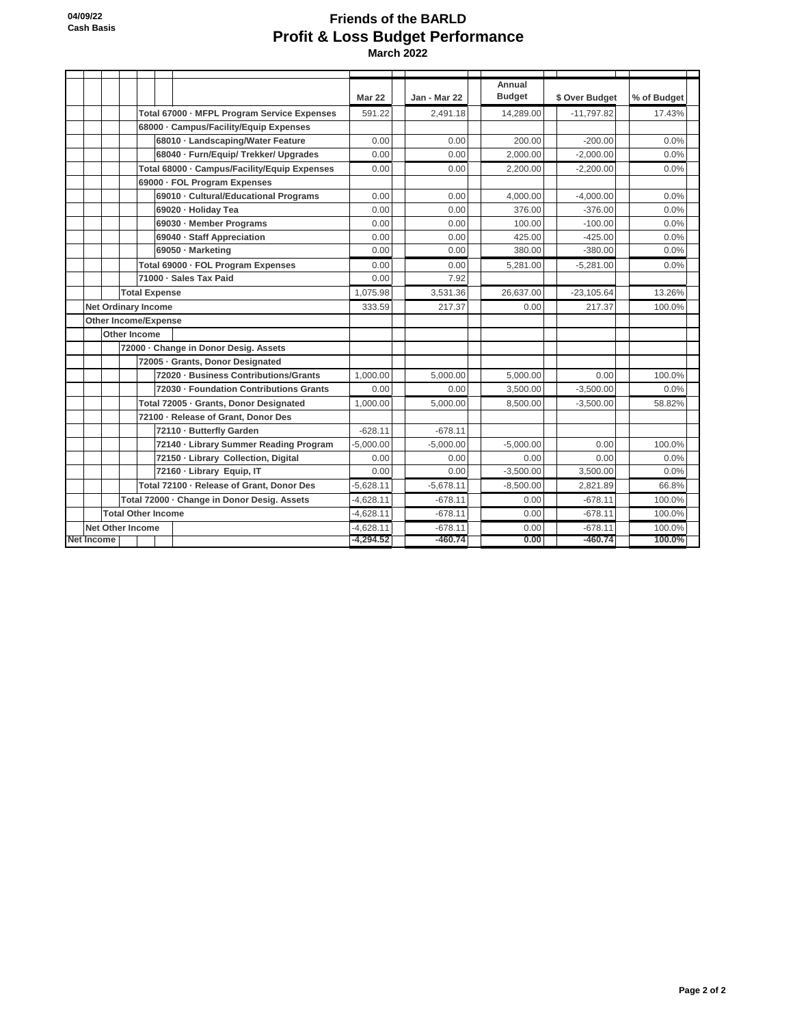## **Friends of the BARLD Profit & Loss Budget Performance March 2022**

|                             |                                             |                                             |             |                                              |             |              | Annual        |                |             |
|-----------------------------|---------------------------------------------|---------------------------------------------|-------------|----------------------------------------------|-------------|--------------|---------------|----------------|-------------|
|                             |                                             |                                             |             |                                              | Mar 22      | Jan - Mar 22 | <b>Budget</b> | \$ Over Budget | % of Budget |
|                             |                                             | Total 67000 - MFPL Program Service Expenses |             | 591.22                                       | 2.491.18    | 14,289.00    | $-11.797.82$  | 17.43%         |             |
|                             |                                             |                                             |             | 68000 - Campus/Facility/Equip Expenses       |             |              |               |                |             |
|                             |                                             |                                             |             | 68010 - Landscaping/Water Feature            | 0.00        | 0.00         | 200.00        | $-200.00$      | 0.0%        |
|                             |                                             |                                             |             | 68040 · Furn/Equip/ Trekker/ Upgrades        | 0.00        | 0.00         | 2,000.00      | $-2,000.00$    | 0.0%        |
|                             |                                             |                                             |             | Total 68000 · Campus/Facility/Equip Expenses | 0.00        | 0.00         | 2,200.00      | $-2.200.00$    | 0.0%        |
|                             |                                             |                                             |             | 69000 · FOL Program Expenses                 |             |              |               |                |             |
|                             |                                             |                                             |             | 69010 - Cultural/Educational Programs        | 0.00        | 0.00         | 4,000.00      | $-4,000.00$    | 0.0%        |
|                             |                                             |                                             |             | 69020 · Holiday Tea                          | 0.00        | 0.00         | 376.00        | $-376.00$      | 0.0%        |
|                             |                                             |                                             |             | 69030 - Member Programs                      | 0.00        | 0.00         | 100.00        | $-100.00$      | 0.0%        |
|                             |                                             |                                             |             | 69040 · Staff Appreciation                   | 0.00        | 0.00         | 425.00        | $-425.00$      | 0.0%        |
|                             |                                             |                                             |             | 69050 - Marketing                            | 0.00        | 0.00         | 380.00        | $-380.00$      | 0.0%        |
|                             |                                             |                                             |             | Total 69000 · FOL Program Expenses           | 0.00        | 0.00         | 5,281.00      | $-5,281.00$    | 0.0%        |
|                             |                                             |                                             |             | 71000 - Sales Tax Paid                       | 0.00        | 7.92         |               |                |             |
| <b>Total Expense</b>        |                                             |                                             |             |                                              | 1,075.98    | 3,531.36     | 26,637.00     | $-23,105.64$   | 13.26%      |
|                             | <b>Net Ordinary Income</b>                  |                                             |             |                                              | 333.59      | 217.37       | 0.00          | 217.37         | 100.0%      |
| <b>Other Income/Expense</b> |                                             |                                             |             |                                              |             |              |               |                |             |
|                             | Other Income                                |                                             |             |                                              |             |              |               |                |             |
|                             | 72000 - Change in Donor Desig. Assets       |                                             |             |                                              |             |              |               |                |             |
|                             |                                             | 72005 - Grants, Donor Designated            |             |                                              |             |              |               |                |             |
|                             |                                             |                                             |             | 72020 - Business Contributions/Grants        | 1.000.00    | 5.000.00     | 5.000.00      | 0.00           | 100.0%      |
|                             |                                             |                                             |             | 72030 - Foundation Contributions Grants      | 0.00        | 0.00         | 3,500.00      | $-3,500.00$    | 0.0%        |
|                             |                                             |                                             |             | Total 72005 · Grants, Donor Designated       | 1.000.00    | 5,000.00     | 8,500.00      | $-3,500.00$    | 58.82%      |
|                             |                                             |                                             |             | 72100 - Release of Grant, Donor Des          |             |              |               |                |             |
|                             |                                             |                                             |             | 72110 - Butterfly Garden                     | $-628.11$   | $-678.11$    |               |                |             |
|                             |                                             |                                             |             | 72140 - Library Summer Reading Program       | $-5.000.00$ | $-5.000.00$  | $-5.000.00$   | 0.00           | 100.0%      |
|                             |                                             |                                             |             | 72150 - Library Collection, Digital          | 0.00        | 0.00         | 0.00          | 0.00           | 0.0%        |
|                             |                                             |                                             |             | 72160 - Library Equip, IT                    | 0.00        | 0.00         | $-3,500.00$   | 3.500.00       | 0.0%        |
|                             |                                             | Total 72100 - Release of Grant, Donor Des   |             | $-5,628.11$                                  | $-5,678.11$ | $-8,500.00$  | 2,821.89      | 66.8%          |             |
|                             | Total 72000 · Change in Donor Desig. Assets |                                             | $-4,628.11$ | $-678.11$                                    | 0.00        | $-678.11$    | 100.0%        |                |             |
|                             | <b>Total Other Income</b>                   |                                             |             |                                              | $-4,628.11$ | $-678.11$    | 0.00          | $-678.11$      | 100.0%      |
| <b>Net Other Income</b>     |                                             |                                             |             |                                              | $-4,628.11$ | $-678.11$    | 0.00          | $-678.11$      | 100.0%      |
| Net Income                  |                                             |                                             | $-4,294.52$ | $-460.74$                                    | 0.00        | $-460.74$    | 100.0%        |                |             |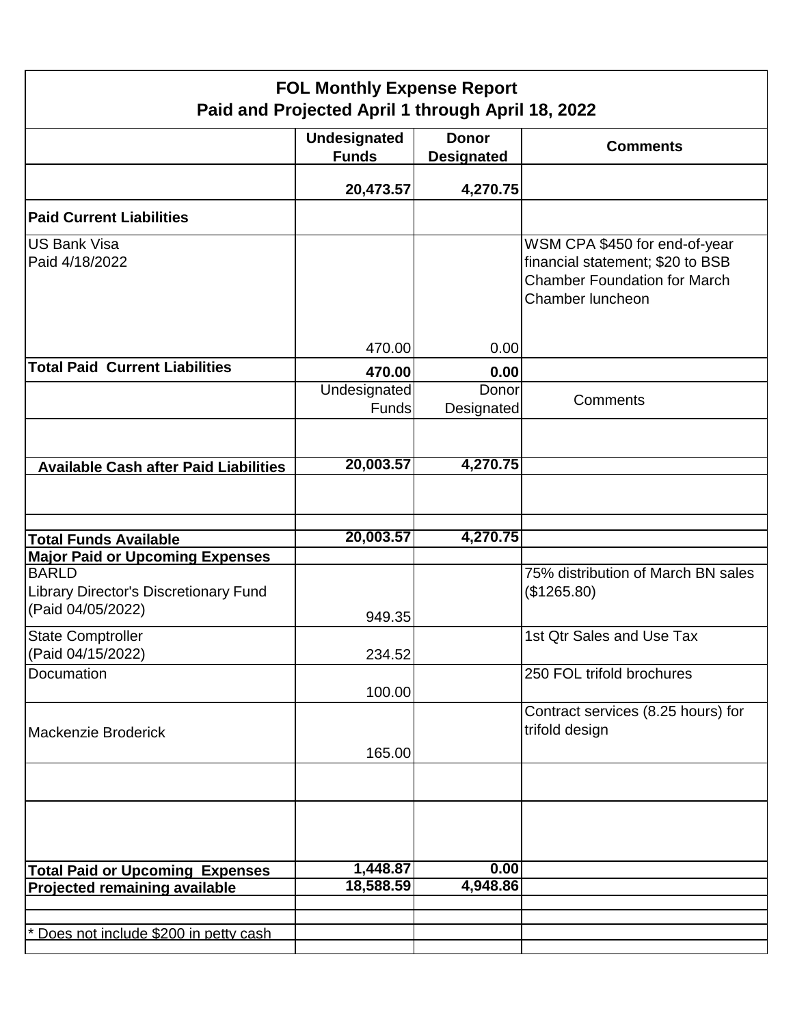| <b>FOL Monthly Expense Report</b><br>Paid and Projected April 1 through April 18, 2022 |                                     |                                   |                                                                                                                              |  |  |  |  |
|----------------------------------------------------------------------------------------|-------------------------------------|-----------------------------------|------------------------------------------------------------------------------------------------------------------------------|--|--|--|--|
|                                                                                        | <b>Undesignated</b><br><b>Funds</b> | <b>Donor</b><br><b>Designated</b> | <b>Comments</b>                                                                                                              |  |  |  |  |
|                                                                                        | 20,473.57                           | 4,270.75                          |                                                                                                                              |  |  |  |  |
| <b>Paid Current Liabilities</b>                                                        |                                     |                                   |                                                                                                                              |  |  |  |  |
| <b>US Bank Visa</b><br>Paid 4/18/2022                                                  |                                     |                                   | WSM CPA \$450 for end-of-year<br>financial statement; \$20 to BSB<br><b>Chamber Foundation for March</b><br>Chamber luncheon |  |  |  |  |
| <b>Total Paid Current Liabilities</b>                                                  | 470.00<br>470.00                    | 0.00<br>0.00                      |                                                                                                                              |  |  |  |  |
|                                                                                        | Undesignated<br><b>Funds</b>        | Donor<br>Designated               | Comments                                                                                                                     |  |  |  |  |
|                                                                                        |                                     |                                   |                                                                                                                              |  |  |  |  |
| <b>Available Cash after Paid Liabilities</b>                                           | 20,003.57                           | 4,270.75                          |                                                                                                                              |  |  |  |  |
|                                                                                        |                                     |                                   |                                                                                                                              |  |  |  |  |
| <b>Total Funds Available</b>                                                           | 20,003.57                           | 4,270.75                          |                                                                                                                              |  |  |  |  |
| <b>Major Paid or Upcoming Expenses</b>                                                 |                                     |                                   |                                                                                                                              |  |  |  |  |
| <b>BARLD</b><br><b>Library Director's Discretionary Fund</b><br>(Paid 04/05/2022)      | 949.35                              |                                   | 75% distribution of March BN sales<br>(\$1265.80)                                                                            |  |  |  |  |
| <b>State Comptroller</b><br>(Paid 04/15/2022)                                          | 234.52                              |                                   | 1st Qtr Sales and Use Tax                                                                                                    |  |  |  |  |
| Documation                                                                             | 100.00                              |                                   | 250 FOL trifold brochures                                                                                                    |  |  |  |  |
| Mackenzie Broderick                                                                    | 165.00                              |                                   | Contract services (8.25 hours) for<br>trifold design                                                                         |  |  |  |  |
|                                                                                        |                                     |                                   |                                                                                                                              |  |  |  |  |
|                                                                                        |                                     |                                   |                                                                                                                              |  |  |  |  |
| <b>Total Paid or Upcoming Expenses</b>                                                 | 1,448.87                            | 0.00                              |                                                                                                                              |  |  |  |  |
| <b>Projected remaining available</b>                                                   | 18,588.59                           | 4,948.86                          |                                                                                                                              |  |  |  |  |
|                                                                                        |                                     |                                   |                                                                                                                              |  |  |  |  |
| Does not include \$200 in petty cash                                                   |                                     |                                   |                                                                                                                              |  |  |  |  |